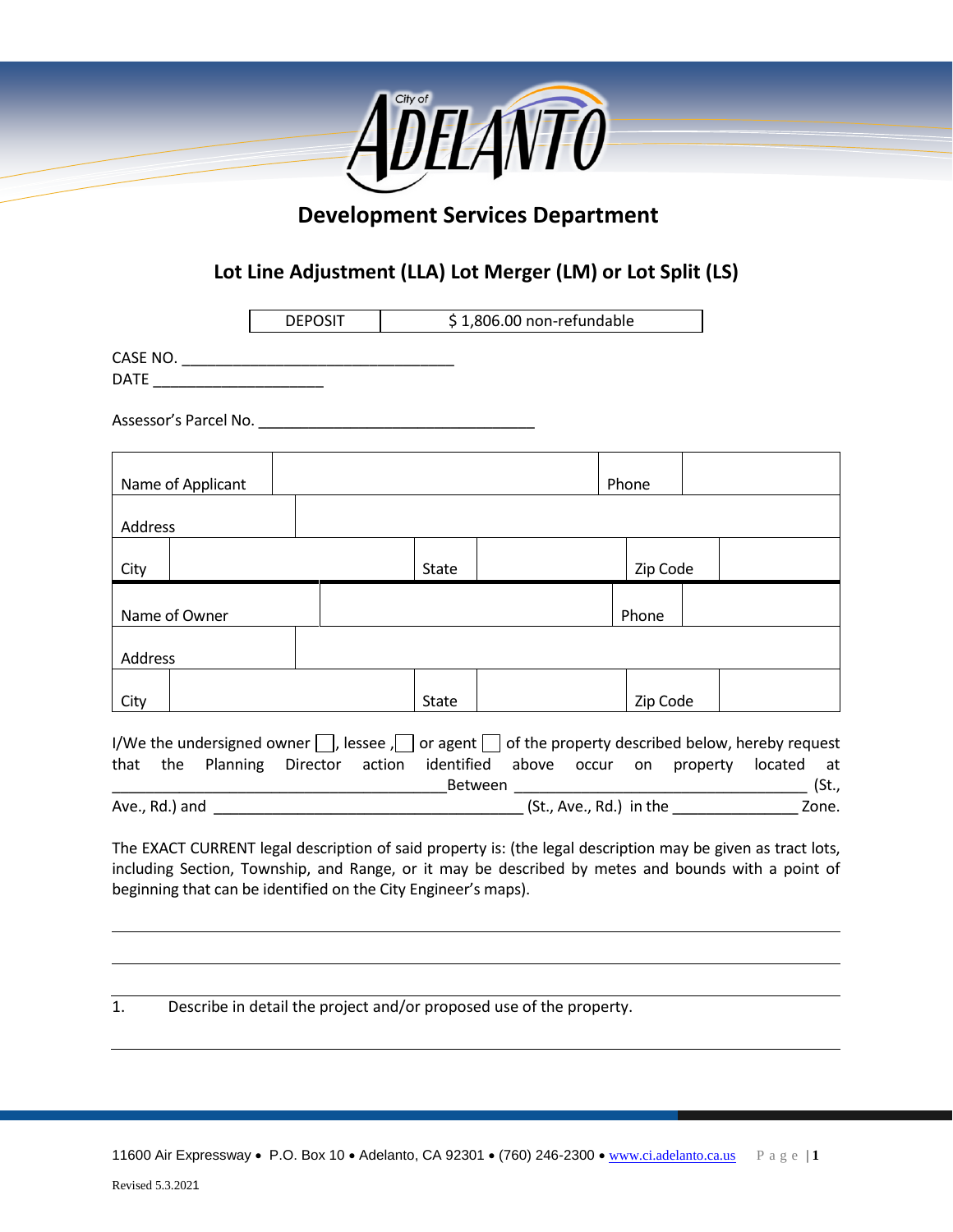

# **Development Services Department**

## **Lot Line Adjustment (LLA) Lot Merger (LM) or Lot Split (LS)**

|                                                                                                                     | <b>DEPOSIT</b> |  | \$1,806.00 non-refundable |                          |  |          |  |       |
|---------------------------------------------------------------------------------------------------------------------|----------------|--|---------------------------|--------------------------|--|----------|--|-------|
|                                                                                                                     |                |  |                           |                          |  |          |  |       |
|                                                                                                                     |                |  |                           |                          |  |          |  |       |
| Assessor's Parcel No.                                                                                               |                |  |                           |                          |  |          |  |       |
| Name of Applicant                                                                                                   |                |  |                           |                          |  | Phone    |  |       |
| Address                                                                                                             |                |  |                           |                          |  |          |  |       |
| City                                                                                                                |                |  |                           | Zip Code<br><b>State</b> |  |          |  |       |
| Name of Owner                                                                                                       |                |  |                           |                          |  | Phone    |  |       |
| Address                                                                                                             |                |  |                           |                          |  |          |  |       |
| City                                                                                                                |                |  | State                     |                          |  | Zip Code |  |       |
| I/We the undersigned owner $\Box$ , lessee , $\Box$ or agent $\Box$ of the property described below, hereby request |                |  |                           |                          |  |          |  |       |
| that the Planning Director action identified above occur on property located at                                     |                |  |                           | Between                  |  |          |  | (St., |
| Ave., Rd.) and                                                                                                      |                |  |                           |                          |  |          |  | Zone. |

The EXACT CURRENT legal description of said property is: (the legal description may be given as tract lots, including Section, Township, and Range, or it may be described by metes and bounds with a point of beginning that can be identified on the City Engineer's maps).

1. Describe in detail the project and/or proposed use of the property.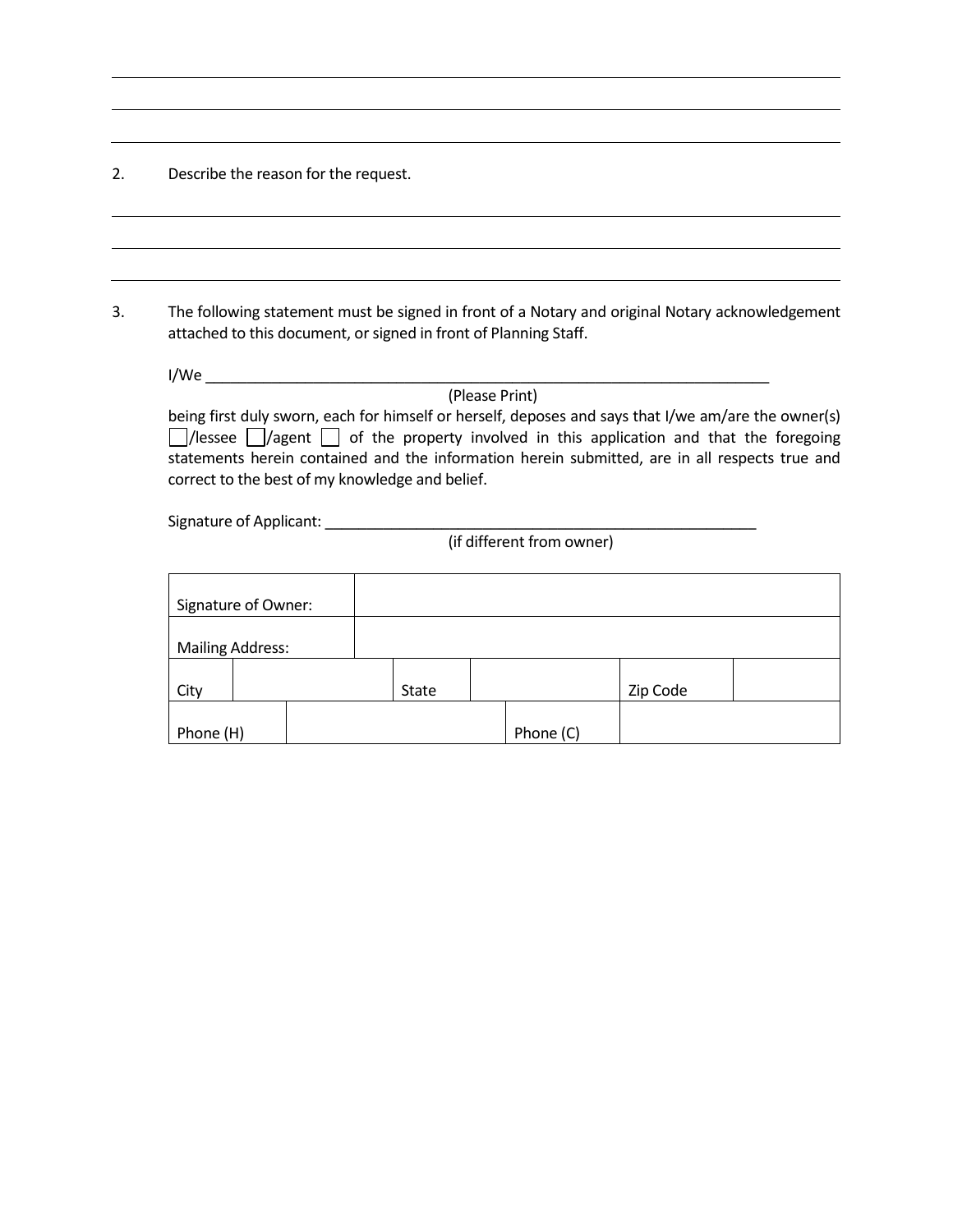2. Describe the reason for the request.

3. The following statement must be signed in front of a Notary and original Notary acknowledgement attached to this document, or signed in front of Planning Staff.

| I/We                                                                                                    |
|---------------------------------------------------------------------------------------------------------|
| (Please Print)                                                                                          |
| being first duly sworn, each for himself or herself, deposes and says that I/we am/are the owner(s)     |
| $\Box$ /lessee $\Box$ /agent $\Box$ of the property involved in this application and that the foregoing |
| statements herein contained and the information herein submitted, are in all respects true and          |
| correct to the best of my knowledge and belief.                                                         |

Signature of Applicant: \_\_\_\_\_\_\_\_\_\_\_\_\_\_\_\_\_\_\_\_\_\_\_\_\_\_\_\_\_\_\_\_\_\_\_\_\_\_\_\_\_\_\_\_\_\_\_\_\_\_\_\_

(if different from owner)

| Signature of Owner:     |  |  |       |           |          |  |
|-------------------------|--|--|-------|-----------|----------|--|
| <b>Mailing Address:</b> |  |  |       |           |          |  |
| City                    |  |  | State |           | Zip Code |  |
| Phone (H)               |  |  |       | Phone (C) |          |  |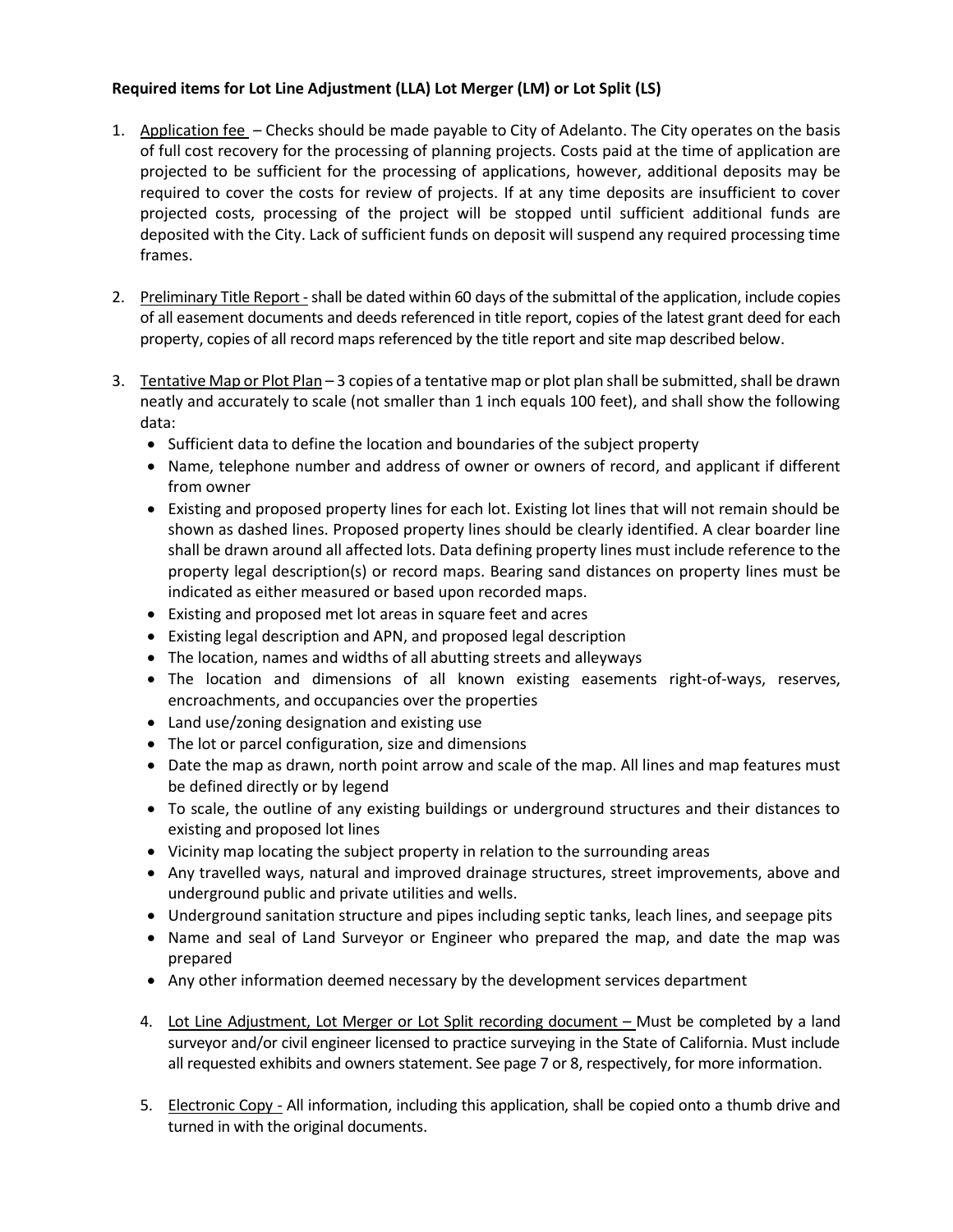### **Required items for Lot Line Adjustment (LLA) Lot Merger (LM) or Lot Split (LS)**

- 1. Application fee Checks should be made payable to City of Adelanto. The City operates on the basis of full cost recovery for the processing of planning projects. Costs paid at the time of application are projected to be sufficient for the processing of applications, however, additional deposits may be required to cover the costs for review of projects. If at any time deposits are insufficient to cover projected costs, processing of the project will be stopped until sufficient additional funds are deposited with the City. Lack of sufficient funds on deposit will suspend any required processing time frames.
- 2. Preliminary Title Report shall be dated within 60 days of the submittal of the application, include copies of all easement documents and deeds referenced in title report, copies of the latest grant deed for each property, copies of all record maps referenced by the title report and site map described below.
- 3. Tentative Map or Plot Plan 3 copies of a tentative map or plot plan shall be submitted, shall be drawn neatly and accurately to scale (not smaller than 1 inch equals 100 feet), and shall show the following data:
	- Sufficient data to define the location and boundaries of the subject property
	- Name, telephone number and address of owner or owners of record, and applicant if different from owner
	- Existing and proposed property lines for each lot. Existing lot lines that will not remain should be shown as dashed lines. Proposed property lines should be clearly identified. A clear boarder line shall be drawn around all affected lots. Data defining property lines must include reference to the property legal description(s) or record maps. Bearing sand distances on property lines must be indicated as either measured or based upon recorded maps.
	- Existing and proposed met lot areas in square feet and acres
	- Existing legal description and APN, and proposed legal description
	- The location, names and widths of all abutting streets and alleyways
	- The location and dimensions of all known existing easements right-of-ways, reserves, encroachments, and occupancies over the properties
	- Land use/zoning designation and existing use
	- The lot or parcel configuration, size and dimensions
	- Date the map as drawn, north point arrow and scale of the map. All lines and map features must be defined directly or by legend
	- To scale, the outline of any existing buildings or underground structures and their distances to existing and proposed lot lines
	- Vicinity map locating the subject property in relation to the surrounding areas
	- Any travelled ways, natural and improved drainage structures, street improvements, above and underground public and private utilities and wells.
	- Underground sanitation structure and pipes including septic tanks, leach lines, and seepage pits
	- Name and seal of Land Surveyor or Engineer who prepared the map, and date the map was prepared
	- Any other information deemed necessary by the development services department
	- 4. Lot Line Adjustment, Lot Merger or Lot Split recording document Must be completed by a land surveyor and/or civil engineer licensed to practice surveying in the State of California. Must include all requested exhibits and owners statement. See page 7 or 8, respectively, for more information.
	- 5. Electronic Copy All information, including this application, shall be copied onto a thumb drive and turned in with the original documents.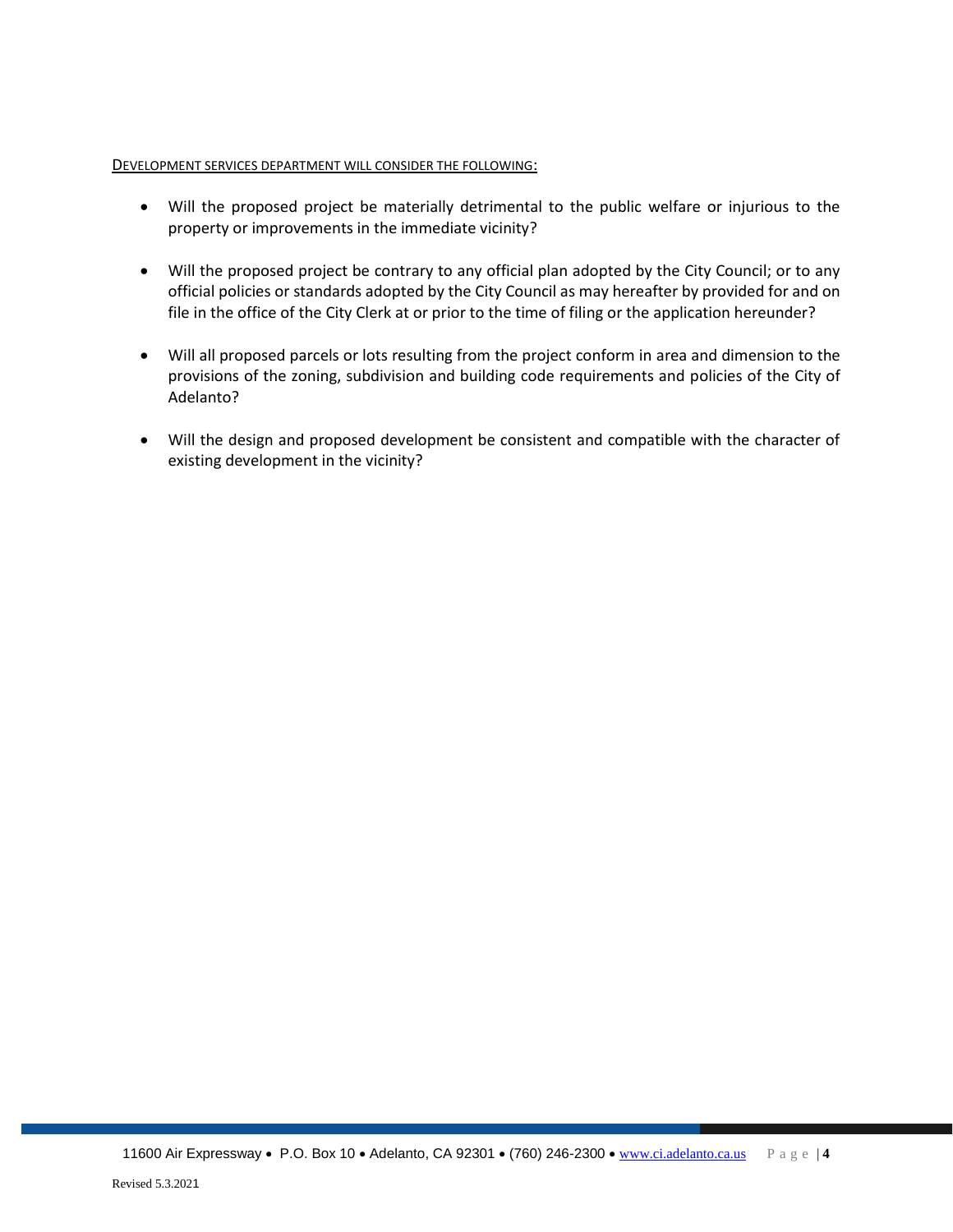#### DEVELOPMENT SERVICES DEPARTMENT WILL CONSIDER THE FOLLOWING:

- Will the proposed project be materially detrimental to the public welfare or injurious to the property or improvements in the immediate vicinity?
- Will the proposed project be contrary to any official plan adopted by the City Council; or to any official policies or standards adopted by the City Council as may hereafter by provided for and on file in the office of the City Clerk at or prior to the time of filing or the application hereunder?
- Will all proposed parcels or lots resulting from the project conform in area and dimension to the provisions of the zoning, subdivision and building code requirements and policies of the City of Adelanto?
- Will the design and proposed development be consistent and compatible with the character of existing development in the vicinity?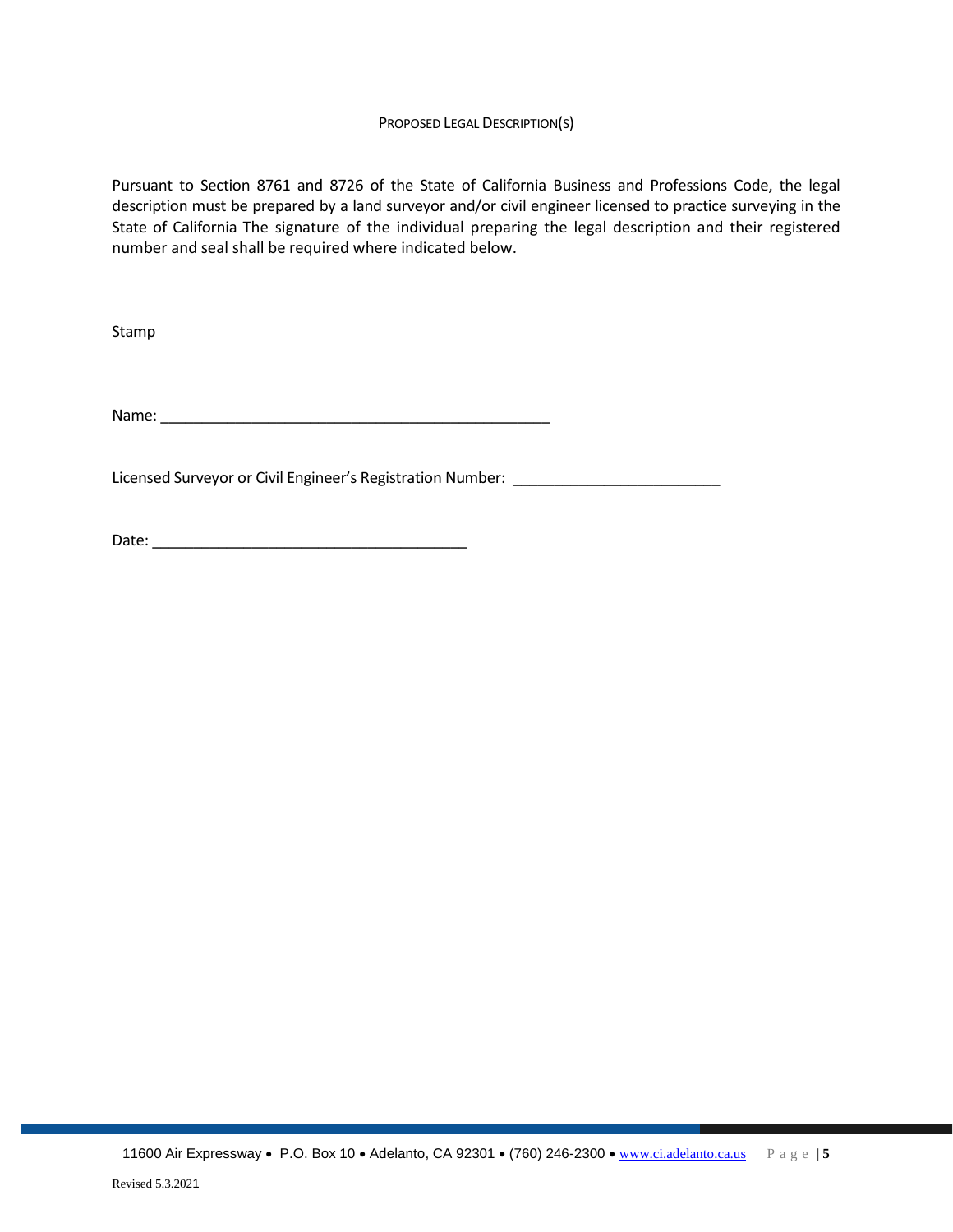#### PROPOSED LEGAL DESCRIPTION(S)

Pursuant to Section 8761 and 8726 of the State of California Business and Professions Code, the legal description must be prepared by a land surveyor and/or civil engineer licensed to practice surveying in the State of California The signature of the individual preparing the legal description and their registered number and seal shall be required where indicated below.

Stamp

Name: \_\_\_\_\_\_\_\_\_\_\_\_\_\_\_\_\_\_\_\_\_\_\_\_\_\_\_\_\_\_\_\_\_\_\_\_\_\_\_\_\_\_\_\_\_\_\_

Licensed Surveyor or Civil Engineer's Registration Number: \_\_\_\_\_\_\_\_\_\_\_\_\_\_\_\_\_\_\_\_\_

Date: \_\_\_\_\_\_\_\_\_\_\_\_\_\_\_\_\_\_\_\_\_\_\_\_\_\_\_\_\_\_\_\_\_\_\_\_\_\_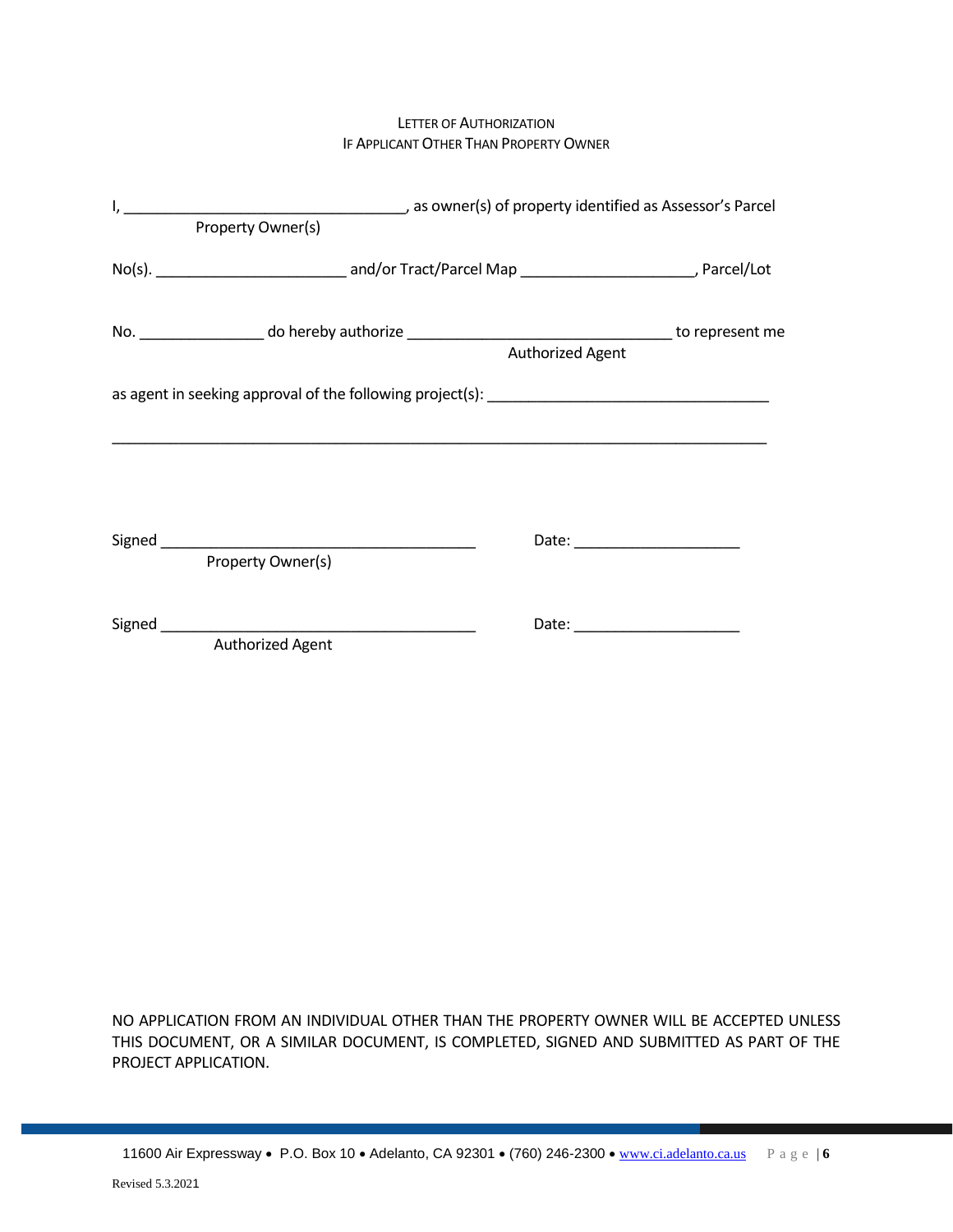#### LETTER OF AUTHORIZATION IF APPLICANT OTHER THAN PROPERTY OWNER

| Property Owner(s) |                  |
|-------------------|------------------|
|                   |                  |
|                   | Authorized Agent |
|                   |                  |
|                   |                  |
| Property Owner(s) |                  |
| Authorized Agent  |                  |

NO APPLICATION FROM AN INDIVIDUAL OTHER THAN THE PROPERTY OWNER WILL BE ACCEPTED UNLESS THIS DOCUMENT, OR A SIMILAR DOCUMENT, IS COMPLETED, SIGNED AND SUBMITTED AS PART OF THE PROJECT APPLICATION.

11600 Air Expressway • P.O. Box 10 • Adelanto, CA 92301 • (760) 246-2300 • [www.ci.adelanto.ca.us](http://www.ci.adelanto.ca.us/) P a g e | **6**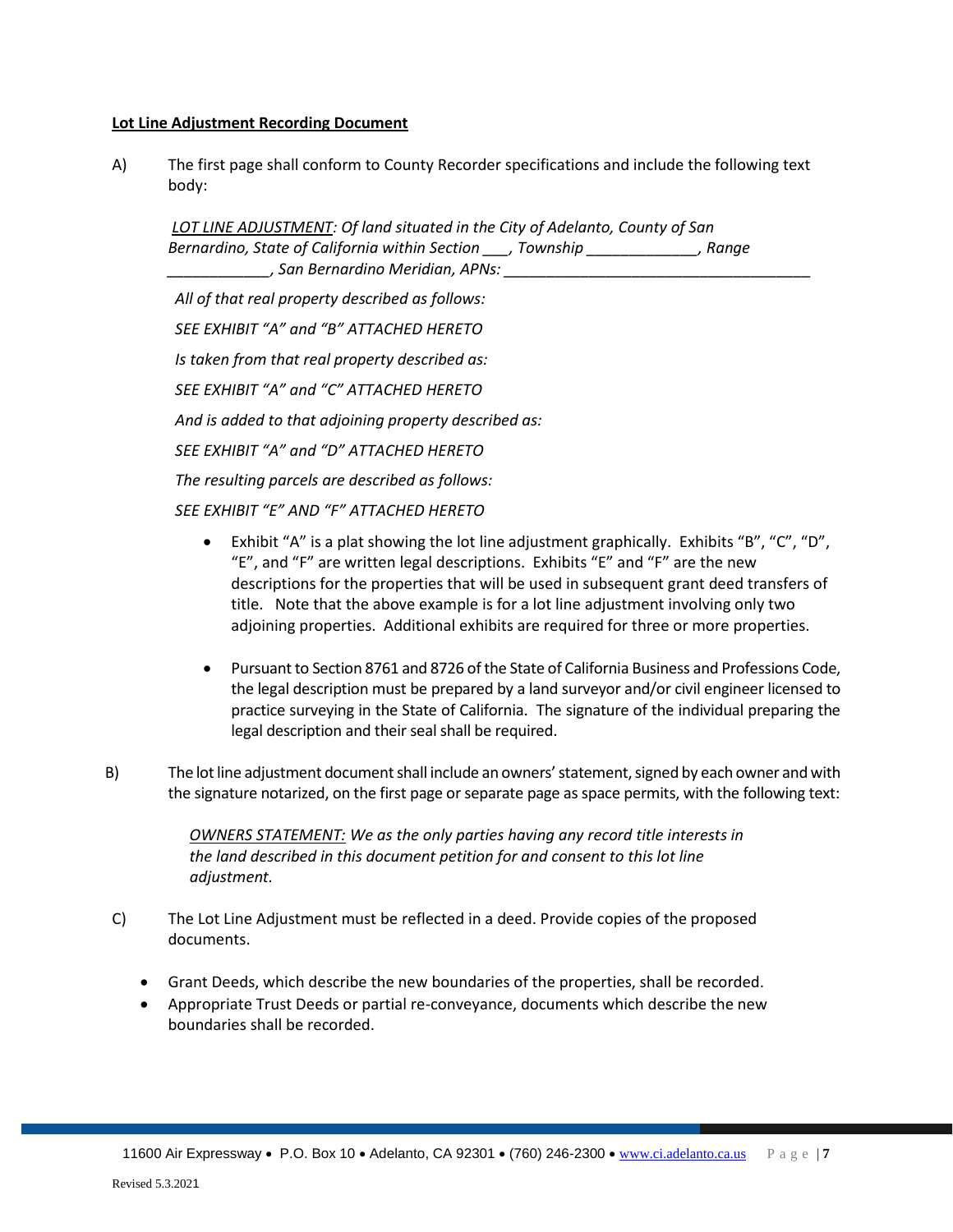#### **Lot Line Adjustment Recording Document**

A) The first page shall conform to County Recorder specifications and include the following text body:

*LOT LINE ADJUSTMENT: Of land situated in the City of Adelanto, County of San Bernardino, State of California within Section \_\_\_, Township \_\_\_\_\_\_\_\_\_\_\_\_\_, Range \_\_\_\_\_\_\_\_\_\_\_\_, San Bernardino Meridian, APNs: \_\_\_\_\_\_\_\_\_\_\_\_\_\_\_\_\_\_\_\_\_\_\_\_\_\_\_\_\_\_\_\_\_\_\_\_*

*All of that real property described as follows: SEE EXHIBIT "A" and "B" ATTACHED HERETO Is taken from that real property described as: SEE EXHIBIT "A" and "C" ATTACHED HERETO And is added to that adjoining property described as: SEE EXHIBIT "A" and "D" ATTACHED HERETO The resulting parcels are described as follows: SEE EXHIBIT "E" AND "F" ATTACHED HERETO*

- Exhibit "A" is a plat showing the lot line adjustment graphically. Exhibits "B", "C", "D", "E", and "F" are written legal descriptions. Exhibits "E" and "F" are the new descriptions for the properties that will be used in subsequent grant deed transfers of title. Note that the above example is for a lot line adjustment involving only two adjoining properties. Additional exhibits are required for three or more properties.
- Pursuant to Section 8761 and 8726 of the State of California Business and Professions Code, the legal description must be prepared by a land surveyor and/or civil engineer licensed to practice surveying in the State of California. The signature of the individual preparing the legal description and their seal shall be required.
- B) The lot line adjustment document shall include an owners' statement, signed by each owner and with the signature notarized, on the first page or separate page as space permits, with the following text:

 *OWNERS STATEMENT: We as the only parties having any record title interests in the land described in this document petition for and consent to this lot line adjustment.*

- C) The Lot Line Adjustment must be reflected in a deed. Provide copies of the proposed documents.
	- Grant Deeds, which describe the new boundaries of the properties, shall be recorded.
	- Appropriate Trust Deeds or partial re-conveyance, documents which describe the new boundaries shall be recorded.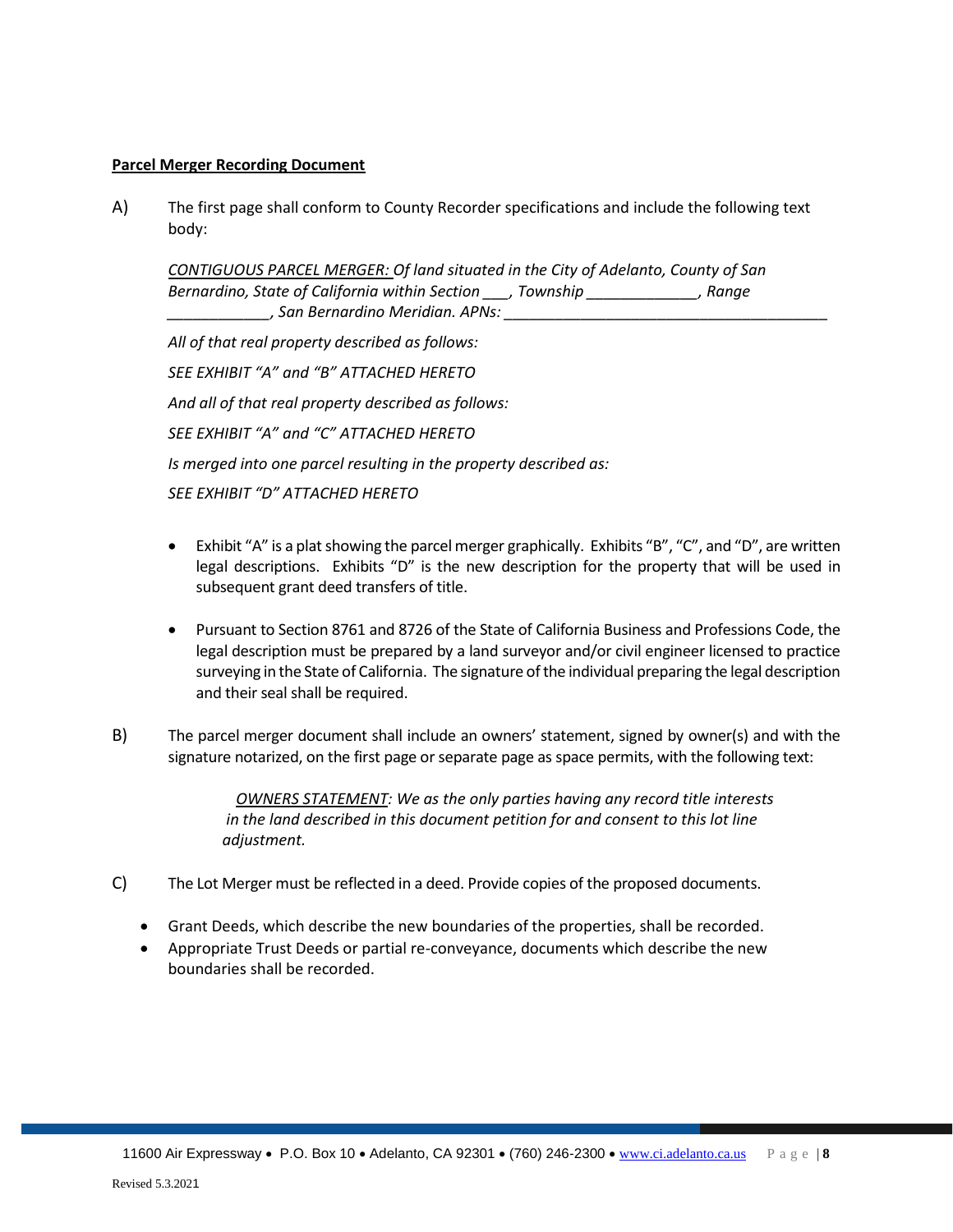#### **Parcel Merger Recording Document**

A) The first page shall conform to County Recorder specifications and include the following text body:

*CONTIGUOUS PARCEL MERGER: Of land situated in the City of Adelanto, County of San Bernardino, State of California within Section \_\_\_, Township \_\_\_\_\_\_\_\_\_\_\_\_\_, Range \_\_\_\_\_\_\_\_\_\_\_\_, San Bernardino Meridian. APNs: \_\_\_\_\_\_\_\_\_\_\_\_\_\_\_\_\_\_\_\_\_\_\_\_\_\_\_\_\_\_\_\_\_\_\_\_\_\_*

*All of that real property described as follows: SEE EXHIBIT "A" and "B" ATTACHED HERETO And all of that real property described as follows: SEE EXHIBIT "A" and "C" ATTACHED HERETO Is merged into one parcel resulting in the property described as: SEE EXHIBIT "D" ATTACHED HERETO*

- Exhibit "A" is a plat showing the parcel merger graphically. Exhibits "B", "C", and "D", are written legal descriptions. Exhibits "D" is the new description for the property that will be used in subsequent grant deed transfers of title.
- Pursuant to Section 8761 and 8726 of the State of California Business and Professions Code, the legal description must be prepared by a land surveyor and/or civil engineer licensed to practice surveying in the State of California. The signature of the individual preparing the legal description and their seal shall be required.
- B) The parcel merger document shall include an owners' statement, signed by owner(s) and with the signature notarized, on the first page or separate page as space permits, with the following text:

*OWNERS STATEMENT: We as the only parties having any record title interests in the land described in this document petition for and consent to this lot line adjustment.*

- C) The Lot Merger must be reflected in a deed. Provide copies of the proposed documents.
	- Grant Deeds, which describe the new boundaries of the properties, shall be recorded.
	- Appropriate Trust Deeds or partial re-conveyance, documents which describe the new boundaries shall be recorded.